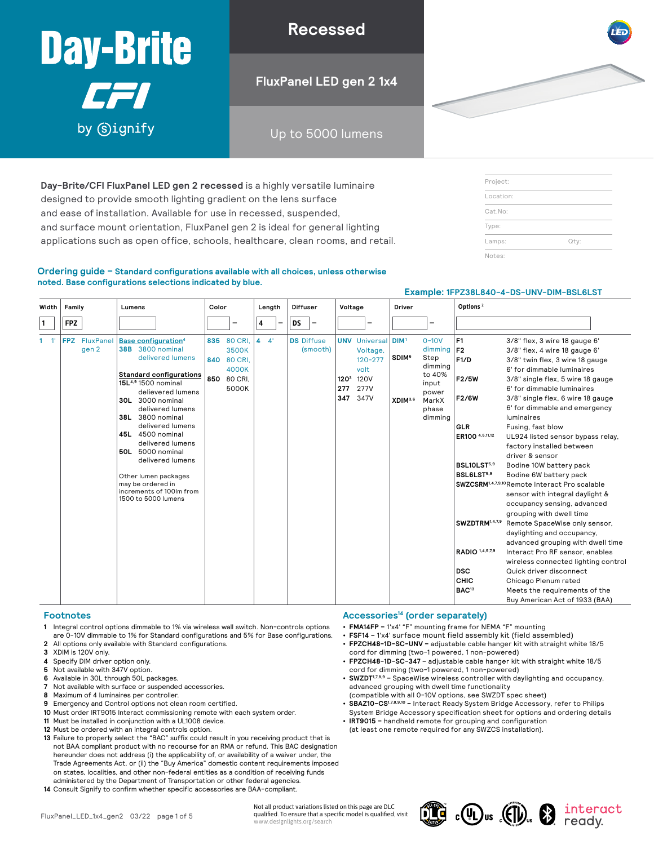# **17 Recessed Recessed LED recessed 1x4 Recessed 1x4 Recessed 1x4 Recessed 1x4 Recessed 1x4 Recessed 1x4 Recessed** Up to 5000 lumens by Gignify

**Recessed**

**FluxPanel LED gen 2 1x4**

Up to 5000 lumens

**Day-Brite/CFI FluxPanel LED gen 2 recessed** is a highly versatile luminaire designed to provide smooth lighting gradient on the lens surface and ease of installation. Available for use in recessed, suspended, and surface mount orientation, FluxPanel gen 2 is ideal for general lighting applications such as open office, schools, healthcare, clean rooms, and retail.

#### **Ordering guide – Standard configurations available with all choices, unless otherwise noted. Base configurations selections indicated by blue.**

|       |            |                        |                                                                                                                                                                                                                                                                                                                                                                                                                                     |       |                                                                         | Example: 1FPZ38L840-4-DS-UNV-DIM-BSL6LST |        |   |           |                   |          |                                |                                     |                                                 |                                                                    |                                                                                                  |                                                                                                                                                                                                                        |                                                                                                                                                                                                                                                                                                                                                                                                                                                                                                                                                                                                                                                                                                                                                                                                                                                                                                                              |
|-------|------------|------------------------|-------------------------------------------------------------------------------------------------------------------------------------------------------------------------------------------------------------------------------------------------------------------------------------------------------------------------------------------------------------------------------------------------------------------------------------|-------|-------------------------------------------------------------------------|------------------------------------------|--------|---|-----------|-------------------|----------|--------------------------------|-------------------------------------|-------------------------------------------------|--------------------------------------------------------------------|--------------------------------------------------------------------------------------------------|------------------------------------------------------------------------------------------------------------------------------------------------------------------------------------------------------------------------|------------------------------------------------------------------------------------------------------------------------------------------------------------------------------------------------------------------------------------------------------------------------------------------------------------------------------------------------------------------------------------------------------------------------------------------------------------------------------------------------------------------------------------------------------------------------------------------------------------------------------------------------------------------------------------------------------------------------------------------------------------------------------------------------------------------------------------------------------------------------------------------------------------------------------|
| Width | Family     |                        | Lumens                                                                                                                                                                                                                                                                                                                                                                                                                              | Color |                                                                         |                                          | Length |   |           | <b>Diffuser</b>   |          | Voltage                        |                                     |                                                 | Driver                                                             |                                                                                                  | Options <sup>2</sup>                                                                                                                                                                                                   |                                                                                                                                                                                                                                                                                                                                                                                                                                                                                                                                                                                                                                                                                                                                                                                                                                                                                                                              |
| 1     | <b>FPZ</b> |                        |                                                                                                                                                                                                                                                                                                                                                                                                                                     |       |                                                                         | 4                                        |        | - | <b>DS</b> |                   |          |                                |                                     |                                                 |                                                                    | $\overline{\phantom{0}}$                                                                         |                                                                                                                                                                                                                        |                                                                                                                                                                                                                                                                                                                                                                                                                                                                                                                                                                                                                                                                                                                                                                                                                                                                                                                              |
| $-1'$ |            | FPZ FluxPanel<br>gen 2 | Base configuration <sup>4</sup><br><b>38B</b> 3800 nominal<br>delivered lumens<br><b>Standard configurations</b><br>15L4,9 1500 nominal<br>delievered lumens<br><b>30L</b> 3000 nominal<br>delivered lumens<br>38L 3800 nominal<br>delivered lumens<br>45L 4500 nominal<br>delivered lumens<br>50L 5000 nominal<br>delivered lumens<br>Other lumen packages<br>may be ordered in<br>increments of 100lm from<br>1500 to 5000 lumens | 850   | 835 80 CRI,<br><b>3500K</b><br>840 80 CRI.<br>4000K<br>80 CRI.<br>5000K | 4                                        | 4'     |   |           | <b>DS</b> Diffuse | (smooth) | 120 <sup>3</sup><br>277<br>347 | volt<br><b>120V</b><br>277V<br>347V | <b>UNV</b> Universal<br>Voltage,<br>$120 - 277$ | DIM <sup>1</sup><br><b>SDIM<sup>6</sup></b><br>XDIM <sup>3,6</sup> | $0 - 10V$<br>dimming<br>Step<br>dimming<br>to 40%<br>input<br>power<br>MarkX<br>phase<br>dimming | F <sub>1</sub><br> F2 <br>F1/D<br>F2/5W<br>F2/6W<br><b>GLR</b><br>ER100 4,5,11,12<br>BSL10LST <sup>5,9</sup><br>BSL6LST <sup>5,9</sup><br>SWZDTRM1,4,7,9<br>RADIO 1,4,5,7,9<br><b>DSC</b><br>CHIC<br>BAC <sup>13</sup> | 3/8" flex, 3 wire 18 gauge 6'<br>3/8" flex, 4 wire 18 gauge 6'<br>3/8" twin flex, 3 wire 18 gauge<br>6' for dimmable luminaires<br>3/8" single flex, 5 wire 18 gauge<br>6' for dimmable luminaires<br>3/8" single flex, 6 wire 18 gauge<br>6' for dimmable and emergency<br><b>luminaires</b><br>Fusing, fast blow<br>UL924 listed sensor bypass relay,<br>factory installed between<br>driver & sensor<br>Bodine 10W battery pack<br>Bodine 6W battery pack<br>SWZCSRM <sup>1,4,7,9,10</sup> Remote Interact Pro scalable<br>sensor with integral daylight &<br>occupancy sensing, advanced<br>grouping with dwell time<br>Remote SpaceWise only sensor,<br>daylighting and occupancy,<br>advanced grouping with dwell time<br>Interact Pro RF sensor, enables<br>wireless connected lighting control<br>Quick driver disconnect<br>Chicago Plenum rated<br>Meets the requirements of the<br>Buy American Act of 1933 (BAA) |

Not all product variations listed on this page are DLC

www.designlights.org/search

#### **Footnotes**

- **1** Integral control options dimmable to 1% via wireless wall switch. Non-controls options are 0-10V dimmable to 1% for Standard configurations and 5% for Base configurations.
- **2** All options only available with Standard configurations.
- **3** XDIM is 120V only.
- **4** Specify DIM driver option only.
- **5** Not available with 347V option.
- **6** Available in 30L through 50L packages.
- **7** Not available with surface or suspended accessories.
- **8** Maximum of 4 luminaires per controller.
- **9** Emergency and Control options not clean room certified.
- **10** Must order IRT9015 Interact commissioning remote with each system order.
- **11** Must be installed in conjunction with a UL1008 device.
- **12** Must be ordered with an integral controls option.
- **13** Failure to properly select the "BAC" suffix could result in you receiving product that is not BAA compliant product with no recourse for an RMA or refund. This BAC designation hereunder does not address (i) the applicability of, or availability of a waiver under, the Trade Agreements Act, or (ii) the "Buy America" domestic content requirements imposed on states, localities, and other non-federal entities as a condition of receiving funds administered by the Department of Transportation or other federal agencies.
- **14** Consult Signify to confirm whether specific accessories are BAA-compliant.

### **Accessories14 (order separately)**

- **• FMA14FP –** 1'x4' "F" mounting frame for NEMA "F" mounting
- **• FSF14 –** 1'x4' surface mount field assembly kit (field assembled)
- **• FPZCH48-1D-SC-UNV –** adjustable cable hanger kit with straight white 18/5 cord for dimming (two-1 powered, 1 non-powered)
- **• FPZCH48-1D-SC-347 –** adjustable cable hanger kit with straight white 18/5 cord for dimming (two-1 powered, 1 non-powered)
- **• SWZDT1,7,8,9 –** SpaceWise wireless controller with daylighting and occupancy, advanced grouping with dwell time functionality
- (compatible with all 0-10V options, see SWZDT spec sheet)
- **• SBAZ10-CS1,7,8,9,10 –** Interact Ready System Bridge Accessory, refer to Philips System Bridge Accessory specification sheet for options and ordering details
- **• IRT9015 –** handheld remote for grouping and configuration (at least one remote required for any SWZCS installation).



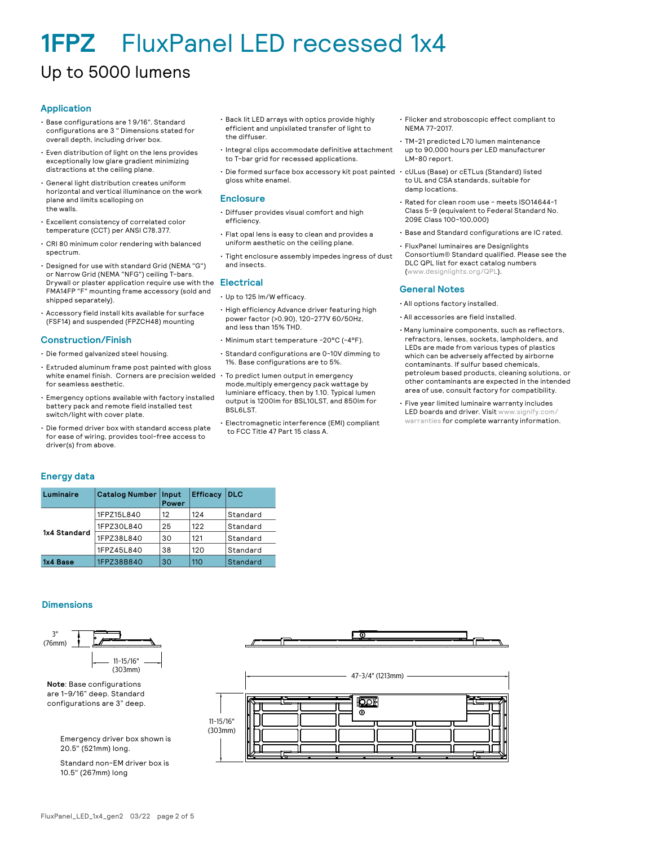### Up to 5000 lumens

#### **Application**

- Base configurations are 1 9/16". Standard configurations are 3 " Dimensions stated for overall depth, including driver box.
- Even distribution of light on the lens provides exceptionally low glare gradient minimizing distractions at the ceiling plane.
- General light distribution creates uniform horizontal and vertical illuminance on the work plane and limits scalloping on the walls.
- Excellent consistency of correlated color temperature (CCT) per ANSI C78.377.
- CRI 80 minimum color rendering with balanced spectrum.
- Designed for use with standard Grid (NEMA "G") or Narrow Grid (NEMA "NFG") ceiling T-bars. Drywall or plaster application require use with the Drywall or plaster application require use with the **Electrical**<br>FMA14FP "F" mounting frame accessory (sold and shipped separately).
- Accessory field install kits available for surface (FSF14) and suspended (FPZCH48) mounting

#### **Construction/Finish**

- Die formed galvanized steel housing.
- Extruded aluminum frame post painted with gloss white enamel finish. Corners are precision welded  $\,\cdot\,$  To predict lumen output in emergency for seamless aesthetic.
- Emergency options available with factory installed battery pack and remote field installed test switch/light with cover plate.
- Die formed driver box with standard access plate for ease of wiring, provides tool-free access to driver(s) from above.
- Back lit LED arrays with optics provide highly efficient and unpixilated transfer of light to the diffuser.
- Integral clips accommodate definitive attachment to T-bar grid for recessed applications.
- Die formed surface box accessory kit post painted cULus (Base) or cETLus (Standard) listed gloss white enamel.

#### **Enclosure**

- Diffuser provides visual comfort and high efficiency.
- Flat opal lens is easy to clean and provides a uniform aesthetic on the ceiling plane.
- Tight enclosure assembly impedes ingress of dust and insects.

- Up to 125 lm/W efficacy.
- High efficiency Advance driver featuring high power factor (>0.90), 120-277V 60/50Hz, and less than 15% THD.
- Minimum start temperature -20°C (-4°F).
- Standard configurations are 0-10V dimming to 1%. Base configurations are to 5%.
- mode,multiply emergency pack wattage by luminiare efficacy, then by 1.10. Typical lumen output is 1200lm for BSL10LST, and 850lm for BSL6LST.
- Electromagnetic interference (EMI) compliant to FCC Title 47 Part 15 class A.
- Flicker and stroboscopic effect compliant to NEMA 77-2017.
- TM-21 predicted L70 lumen maintenance up to 90,000 hours per LED manufacturer LM-80 report.
- to UL and CSA standards, suitable for damp locations.
- Rated for clean room use meets ISO14644-1 Class 5-9 (equivalent to Federal Standard No. 209E Class 100-100,000)
- Base and Standard configurations are IC rated.
- FluxPanel luminaires are Designlights Consortium® Standard qualified. Please see the DLC QPL list for exact catalog numbers ([www.designlights.org/QPL\)](http://www.designlights.org/QPL).

#### **General Notes**

- All options factory installed.
- All accessories are field installed.
- Many luminaire components, such as reflectors, refractors, lenses, sockets, lampholders, and LEDs are made from various types of plastics which can be adversely affected by airborne contaminants. If sulfur based chemicals, petroleum based products, cleaning solutions, or other contaminants are expected in the intended area of use, consult factory for compatibility.
- Five year limited luminaire warranty includes LED boards and driver. Visit [www.signify.com/](http://www.signify.com/warranties) [warranties](http://www.signify.com/warranties) for complete warranty information.

#### **Energy data**

| Luminaire    | <b>Catalog Number</b> | Input<br>Power | <b>Efficacy</b> | DLC      |
|--------------|-----------------------|----------------|-----------------|----------|
|              | 1FPZ15L840            | 12             | 124             | Standard |
|              | 1FPZ30L840            | 25             | 122             | Standard |
| 1x4 Standard | 1FPZ38L840            | 30             | 121             | Standard |
|              | 1FPZ45L840            | 38             | 120             | Standard |
| 1x4 Base     | 1FPZ38B840            | 30             | 110             | Standard |

#### **Dimensions**

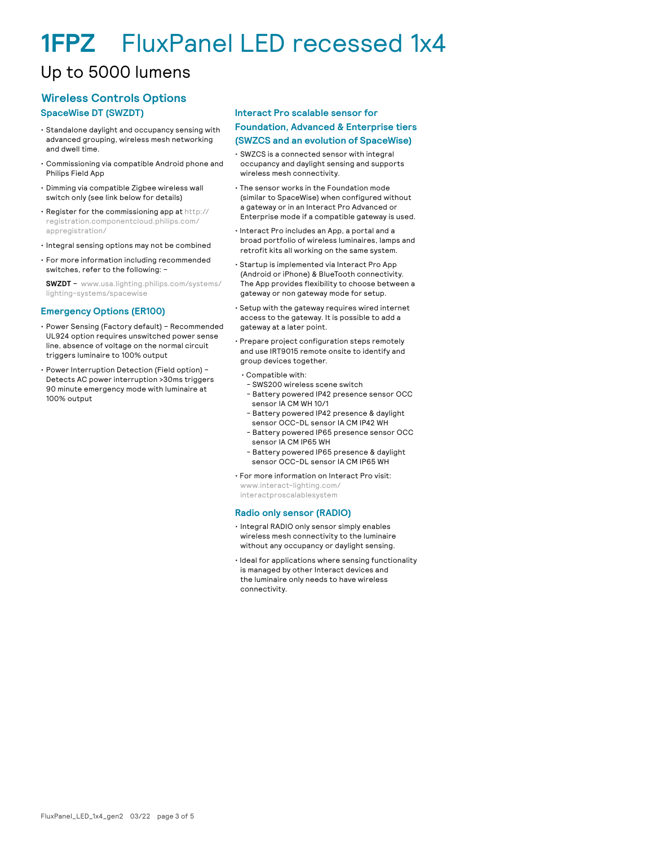### Up to 5000 lumens

#### **Wireless Controls Options SpaceWise DT (SWZDT)**

#### • Standalone daylight and occupancy sensing with advanced grouping, wireless mesh networking and dwell time.

- Commissioning via compatible Android phone and Philips Field App
- Dimming via compatible Zigbee wireless wall switch only (see link below for details)
- Register for the commissioning app at http:// registration.componentcloud.philips.com/ appregistration/
- Integral sensing options may not be combined
- For more information including recommended switches, refer to the following: –

**SWZDT** – www.usa.lighting.philips.com/systems/ lighting-systems/spacewise

#### **Emergency Options (ER100)**

- Power Sensing (Factory default) Recommended UL924 option requires unswitched power sense line, absence of voltage on the normal circuit triggers luminaire to 100% output
- Power Interruption Detection (Field option) Detects AC power interruption >30ms triggers 90 minute emergency mode with luminaire at 100% output

#### **Interact Pro scalable sensor for**

#### **Foundation, Advanced & Enterprise tiers**

- **(SWZCS and an evolution of SpaceWise)**
- SWZCS is a connected sensor with integral occupancy and daylight sensing and supports wireless mesh connectivity.
- The sensor works in the Foundation mode (similar to SpaceWise) when configured without a gateway or in an Interact Pro Advanced or Enterprise mode if a compatible gateway is used.
- Interact Pro includes an App, a portal and a broad portfolio of wireless luminaires, lamps and retrofit kits all working on the same system.
- Startup is implemented via Interact Pro App (Android or iPhone) & BlueTooth connectivity. The App provides flexibility to choose between a gateway or non gateway mode for setup.
- Setup with the gateway requires wired internet access to the gateway. It is possible to add a gateway at a later point.
- Prepare project configuration steps remotely and use IRT9015 remote onsite to identify and group devices together.
	- Compatible with:
	- SWS200 wireless scene switch
	- Battery powered IP42 presence sensor OCC sensor IA CM WH 10/1
	- Battery powered IP42 presence & daylight sensor OCC-DL sensor IA CM IP42 WH
	- Battery powered IP65 presence sensor OCC sensor IA CM IP65 WH
	- Battery powered IP65 presence & daylight sensor OCC-DL sensor IA CM IP65 WH

• For more information on Interact Pro visit: www.interact-lighting.com/

interactproscalablesystem

#### **Radio only sensor (RADIO)**

- Integral RADIO only sensor simply enables wireless mesh connectivity to the luminaire without any occupancy or daylight sensing.
- Ideal for applications where sensing functionality is managed by other Interact devices and the luminaire only needs to have wireless connectivity.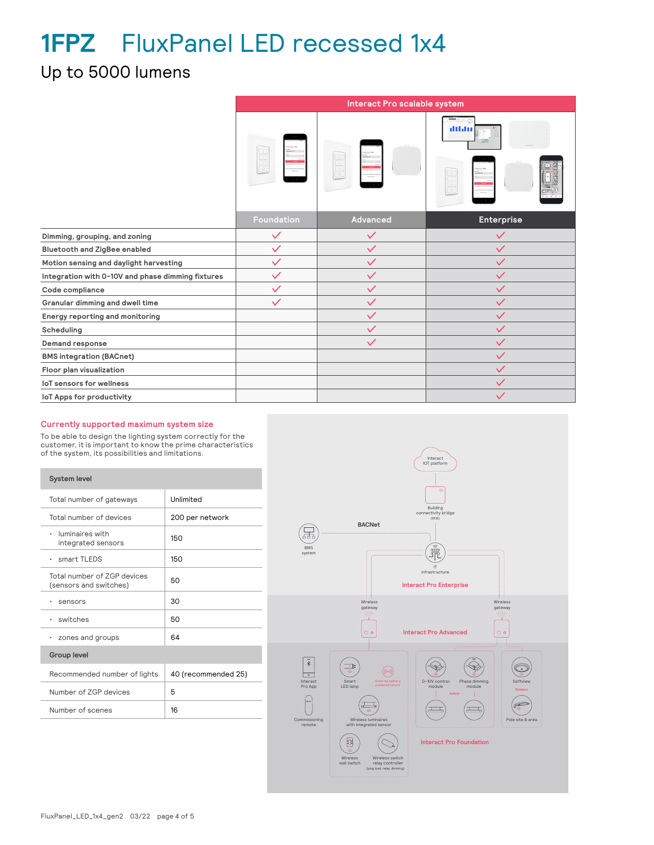### Up to 5000 lumens

|                                                   |              | Interact Pro scalable system |              |
|---------------------------------------------------|--------------|------------------------------|--------------|
|                                                   |              |                              | illilin      |
|                                                   | Foundation   | Advanced                     | Enterprise   |
| Dimming, grouping, and zoning                     | $\checkmark$ | $\checkmark$                 | $\checkmark$ |
| Bluetooth and ZigBee enabled                      | $\checkmark$ | $\checkmark$                 | $\checkmark$ |
| Motion sensing and daylight harvesting            | $\checkmark$ | $\checkmark$                 | $\checkmark$ |
| Integration with 0-10V and phase dimming fixtures | $\checkmark$ | $\checkmark$                 | $\checkmark$ |
| Code compliance                                   | $\checkmark$ | $\checkmark$                 | $\checkmark$ |
| Granular dimming and dwell time                   | $\checkmark$ | $\checkmark$                 | $\checkmark$ |
| Energy reporting and monitoring                   |              | $\checkmark$                 | $\checkmark$ |
| Scheduling                                        |              | $\checkmark$                 | $\checkmark$ |
| Demand response                                   |              | $\checkmark$                 | $\checkmark$ |
| <b>BMS integration (BACnet)</b>                   |              |                              | $\checkmark$ |
| Floor plan visualization                          |              |                              | $\checkmark$ |
| <b>IoT sensors for wellness</b>                   |              |                              | $\checkmark$ |
| IoT Apps for productivity                         |              |                              | $\checkmark$ |

#### **Currently supported maximum system size**

To be able to design the lighting system correctly for the customer, it is important to know the prime characteristics of the system, its possibilities and limitations.

| <b>System level</b>                                   |                     |
|-------------------------------------------------------|---------------------|
| Total number of gateways                              | Unlimited           |
| Total number of devices                               | 200 per network     |
| luminaires with<br>٠<br>integrated sensors            | 150                 |
| $\cdot$ smart TLEDS                                   | 150                 |
| Total number of 7GP devices<br>(sensors and switches) | 50                  |
| sensors<br>٠                                          | 30                  |
| · switches                                            | 50                  |
| zones and groups<br>٠                                 | 64                  |
| <b>Group level</b>                                    |                     |
| Recommended number of lights                          | 40 (recommended 25) |
| Number of 7GP devices                                 | 5                   |
| Number of scenes                                      | 16                  |